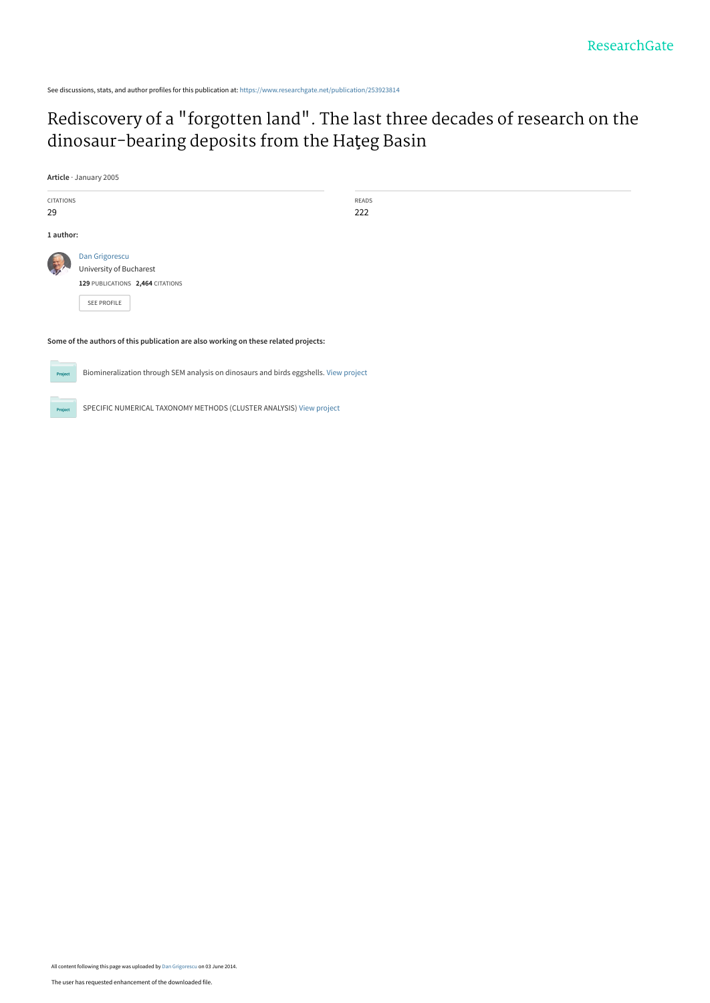See discussions, stats, and author profiles for this publication at: [https://www.researchgate.net/publication/253923814](https://www.researchgate.net/publication/253923814_Rediscovery_of_a_forgotten_land_The_last_three_decades_of_research_on_the_dinosaur-bearing_deposits_from_the_Hateg_Basin?enrichId=rgreq-bfcd588e0de6e7f12f92f41ad8975518-XXX&enrichSource=Y292ZXJQYWdlOzI1MzkyMzgxNDtBUzoxMDM4NjUyNjEyMzIxMzBAMTQwMTc3NDgxNjI0OQ%3D%3D&el=1_x_2&_esc=publicationCoverPdf)

# [Rediscovery of a "forgotten land". The last three decades of research on the](https://www.researchgate.net/publication/253923814_Rediscovery_of_a_forgotten_land_The_last_three_decades_of_research_on_the_dinosaur-bearing_deposits_from_the_Hateg_Basin?enrichId=rgreq-bfcd588e0de6e7f12f92f41ad8975518-XXX&enrichSource=Y292ZXJQYWdlOzI1MzkyMzgxNDtBUzoxMDM4NjUyNjEyMzIxMzBAMTQwMTc3NDgxNjI0OQ%3D%3D&el=1_x_3&_esc=publicationCoverPdf) dinosaur-bearing deposits from the Haţeg Basin

**Article** · January 2005



READS 222

**Some of the authors of this publication are also working on these related projects:**

Biomineralization through SEM analysis on dinosaurs and birds eggshells. [View project](https://www.researchgate.net/project/Biomineralization-through-SEM-analysis-on-dinosaurs-and-birds-eggshells?enrichId=rgreq-bfcd588e0de6e7f12f92f41ad8975518-XXX&enrichSource=Y292ZXJQYWdlOzI1MzkyMzgxNDtBUzoxMDM4NjUyNjEyMzIxMzBAMTQwMTc3NDgxNjI0OQ%3D%3D&el=1_x_9&_esc=publicationCoverPdf)



Pro

SPECIFIC NUMERICAL TAXONOMY METHODS (CLUSTER ANALYSIS) [View project](https://www.researchgate.net/project/SPECIFIC-NUMERICAL-TAXONOMY-METHODS-CLUSTER-ANALYSIS?enrichId=rgreq-bfcd588e0de6e7f12f92f41ad8975518-XXX&enrichSource=Y292ZXJQYWdlOzI1MzkyMzgxNDtBUzoxMDM4NjUyNjEyMzIxMzBAMTQwMTc3NDgxNjI0OQ%3D%3D&el=1_x_9&_esc=publicationCoverPdf)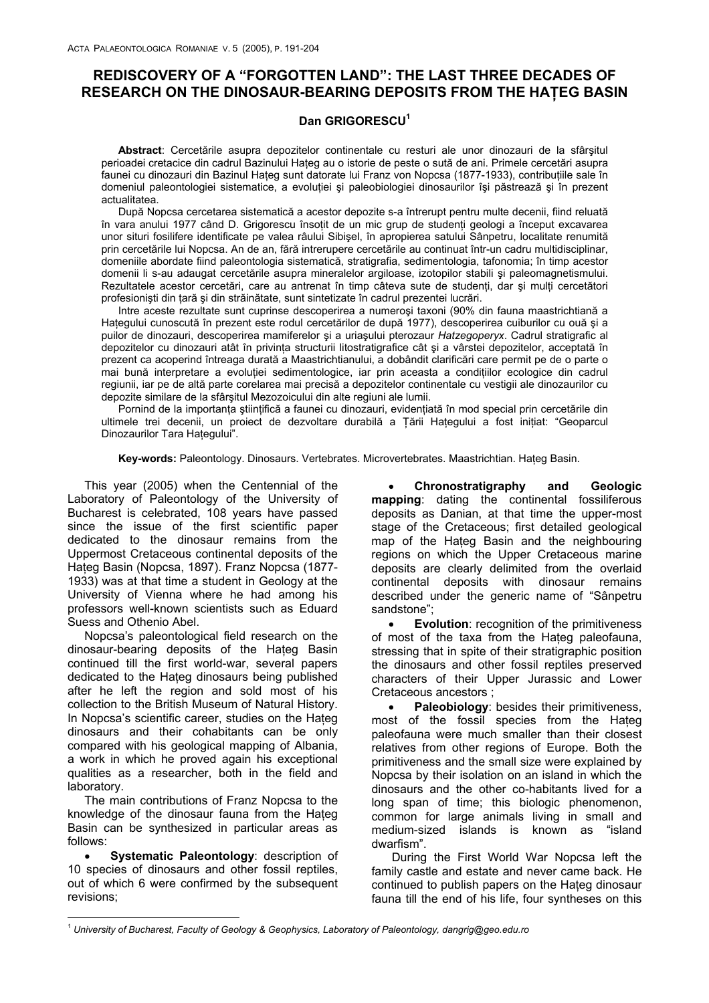# **REDISCOVERY OF A "FORGOTTEN LAND": THE LAST THREE DECADES OF RESEARCH ON THE DINOSAUR-BEARING DEPOSITS FROM THE HAŢEG BASIN**

# Dan GRIGORESCU<sup>1</sup>

**Abstract**: Cercetările asupra depozitelor continentale cu resturi ale unor dinozauri de la sfârşitul perioadei cretacice din cadrul Bazinului Hateg au o istorie de peste o sută de ani. Primele cercetări asupra faunei cu dinozauri din Bazinul Haţeg sunt datorate lui Franz von Nopcsa (1877-1933), contribuţiile sale în domeniul paleontologiei sistematice, a evoluției și paleobiologiei dinosaurilor își păstrează și în prezent actualitatea.

După Nopcsa cercetarea sistematică a acestor depozite s-a întrerupt pentru multe decenii, fiind reluată în vara anului 1977 când D. Grigorescu însotit de un mic grup de studenți geologi a început excavarea unor situri fosilifere identificate pe valea râului Sibişel, în apropierea satului Sânpetru, localitate renumită prin cercetările lui Nopcsa. An de an, fără intrerupere cercetările au continuat într-un cadru multidisciplinar, domeniile abordate fiind paleontologia sistematică, stratigrafia, sedimentologia, tafonomia; în timp acestor domenii li s-au adaugat cercetările asupra mineralelor argiloase, izotopilor stabili şi paleomagnetismului. Rezultatele acestor cercetări, care au antrenat în timp câteva sute de studenți, dar și mulți cercetători profesioniști din tară și din străinătate, sunt sintetizate în cadrul prezentei lucrări.

Intre aceste rezultate sunt cuprinse descoperirea a numeroşi taxoni (90% din fauna maastrichtiană a Hategului cunoscută în prezent este rodul cercetărilor de după 1977), descoperirea cuiburilor cu ouă și a puilor de dinozauri, descoperirea mamiferelor şi a uriaşului pterozaur *Hatzegoperyx*. Cadrul stratigrafic al depozitelor cu dinozauri atât în privinta structurii litostratigrafice cât și a vârstei depozitelor, acceptată în prezent ca acoperind întreaga durată a Maastrichtianului, a dobândit clarificări care permit pe de o parte o mai bună interpretare a evoluției sedimentologice, iar prin aceasta a condițiilor ecologice din cadrul regiunii, iar pe de altă parte corelarea mai precisă a depozitelor continentale cu vestigii ale dinozaurilor cu depozite similare de la sfârşitul Mezozoicului din alte regiuni ale lumii.

Pornind de la importanța științifică a faunei cu dinozauri, evidențiată în mod special prin cercetările din ultimele trei decenii, un proiect de dezvoltare durabilă a Țării Hategului a fost inițiat: "Geoparcul Dinozaurilor Tara Haţegului".

**Key-words:** Paleontology. Dinosaurs. Vertebrates. Microvertebrates. Maastrichtian. Haţeg Basin.

This year (2005) when the Centennial of the Laboratory of Paleontology of the University of Bucharest is celebrated, 108 years have passed since the issue of the first scientific paper dedicated to the dinosaur remains from the Uppermost Cretaceous continental deposits of the Hateg Basin (Nopcsa, 1897). Franz Nopcsa (1877-1933) was at that time a student in Geology at the University of Vienna where he had among his professors well-known scientists such as Eduard Suess and Othenio Abel.

Nopcsa's paleontological field research on the dinosaur-bearing deposits of the Haţeg Basin continued till the first world-war, several papers dedicated to the Haţeg dinosaurs being published after he left the region and sold most of his collection to the British Museum of Natural History. In Nopcsa's scientific career, studies on the Hateg dinosaurs and their cohabitants can be only compared with his geological mapping of Albania, a work in which he proved again his exceptional qualities as a researcher, both in the field and laboratory.

The main contributions of Franz Nopcsa to the knowledge of the dinosaur fauna from the Hateg Basin can be synthesized in particular areas as follows:

**Systematic Paleontology: description of** 10 species of dinosaurs and other fossil reptiles, out of which 6 were confirmed by the subsequent revisions;

• **Chronostratigraphy and Geologic mapping**: dating the continental fossiliferous deposits as Danian, at that time the upper-most stage of the Cretaceous; first detailed geological map of the Hateg Basin and the neighbouring regions on which the Upper Cretaceous marine deposits are clearly delimited from the overlaid continental deposits with dinosaur remains described under the generic name of "Sânpetru sandstone";

**Evolution:** recognition of the primitiveness of most of the taxa from the Hateg paleofauna, stressing that in spite of their stratigraphic position the dinosaurs and other fossil reptiles preserved characters of their Upper Jurassic and Lower Cretaceous ancestors ;

• **Paleobiology**: besides their primitiveness, most of the fossil species from the Haţeg paleofauna were much smaller than their closest relatives from other regions of Europe. Both the primitiveness and the small size were explained by Nopcsa by their isolation on an island in which the dinosaurs and the other co-habitants lived for a long span of time; this biologic phenomenon, common for large animals living in small and medium-sized islands is known as "island dwarfism".

 During the First World War Nopcsa left the family castle and estate and never came back. He continued to publish papers on the Haţeg dinosaur fauna till the end of his life, four syntheses on this

 $\overline{a}$ <sup>1</sup> *University of Bucharest, Faculty of Geology & Geophysics, Laboratory of Paleontology, dangrig@geo.edu.ro*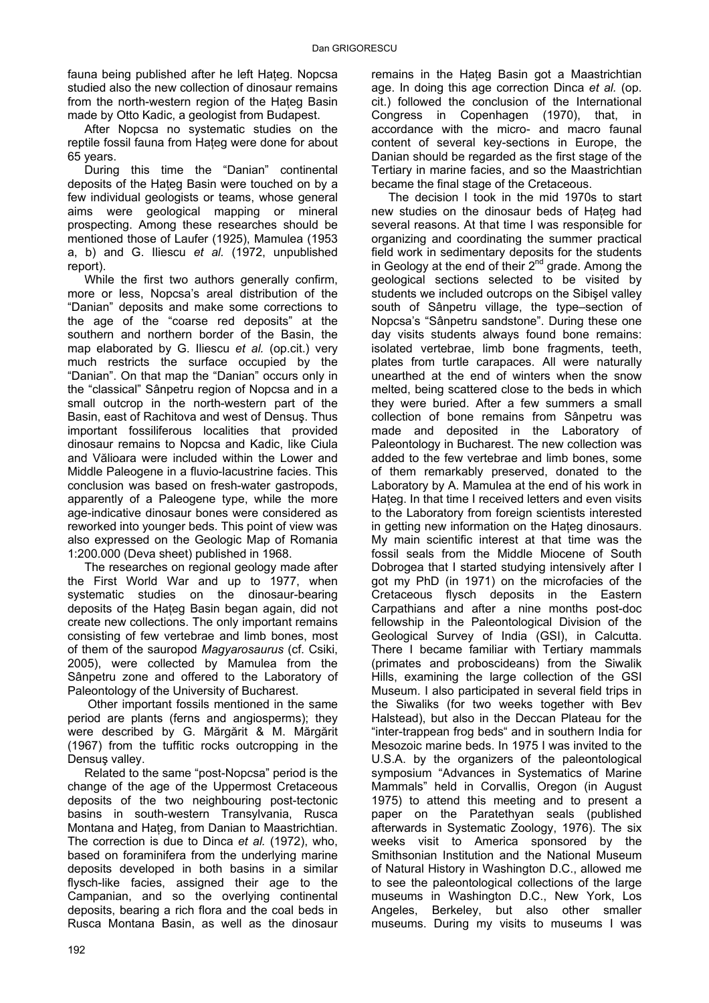fauna being published after he left Hateg. Nopcsa studied also the new collection of dinosaur remains from the north-western region of the Hateg Basin made by Otto Kadic, a geologist from Budapest.

After Nopcsa no systematic studies on the reptile fossil fauna from Hateg were done for about 65 years.

During this time the "Danian" continental deposits of the Hateg Basin were touched on by a few individual geologists or teams, whose general aims were geological mapping or mineral prospecting. Among these researches should be mentioned those of Laufer (1925), Mamulea (1953 a, b) and G. Iliescu *et al.* (1972, unpublished report).

While the first two authors generally confirm, more or less, Nopcsa's areal distribution of the "Danian" deposits and make some corrections to the age of the "coarse red deposits" at the southern and northern border of the Basin, the map elaborated by G. Iliescu *et al.* (op.cit.) very much restricts the surface occupied by the "Danian". On that map the "Danian" occurs only in the "classical" Sânpetru region of Nopcsa and in a small outcrop in the north-western part of the Basin, east of Rachitova and west of Densuş. Thus important fossiliferous localities that provided dinosaur remains to Nopcsa and Kadic, like Ciula and Vălioara were included within the Lower and Middle Paleogene in a fluvio-lacustrine facies. This conclusion was based on fresh-water gastropods, apparently of a Paleogene type, while the more age-indicative dinosaur bones were considered as reworked into younger beds. This point of view was also expressed on the Geologic Map of Romania 1:200.000 (Deva sheet) published in 1968.

The researches on regional geology made after the First World War and up to 1977, when systematic studies on the dinosaur-bearing deposits of the Hateg Basin began again, did not create new collections. The only important remains consisting of few vertebrae and limb bones, most of them of the sauropod *Magyarosaurus* (cf. Csiki, 2005), were collected by Mamulea from the Sânpetru zone and offered to the Laboratory of Paleontology of the University of Bucharest.

 Other important fossils mentioned in the same period are plants (ferns and angiosperms); they were described by G. Mărgărit & M. Mărgărit (1967) from the tuffitic rocks outcropping in the Densuş valley.

Related to the same "post-Nopcsa" period is the change of the age of the Uppermost Cretaceous deposits of the two neighbouring post-tectonic basins in south-western Transylvania, Rusca Montana and Hateg, from Danian to Maastrichtian. The correction is due to Dinca *et al.* (1972), who, based on foraminifera from the underlying marine deposits developed in both basins in a similar flysch-like facies, assigned their age to the Campanian, and so the overlying continental deposits, bearing a rich flora and the coal beds in Rusca Montana Basin, as well as the dinosaur

remains in the Hateg Basin got a Maastrichtian age. In doing this age correction Dinca *et al.* (op. cit.) followed the conclusion of the International Congress in Copenhagen (1970), that, in accordance with the micro- and macro faunal content of several key-sections in Europe, the Danian should be regarded as the first stage of the Tertiary in marine facies, and so the Maastrichtian became the final stage of the Cretaceous.

The decision I took in the mid 1970s to start new studies on the dinosaur beds of Hateg had several reasons. At that time I was responsible for organizing and coordinating the summer practical field work in sedimentary deposits for the students in Geology at the end of their  $2^{nd}$  grade. Among the geological sections selected to be visited by students we included outcrops on the Sibişel valley south of Sânpetru village, the type–section of Nopcsa's "Sânpetru sandstone". During these one day visits students always found bone remains: isolated vertebrae, limb bone fragments, teeth, plates from turtle carapaces. All were naturally unearthed at the end of winters when the snow melted, being scattered close to the beds in which they were buried. After a few summers a small collection of bone remains from Sânpetru was made and deposited in the Laboratory of Paleontology in Bucharest. The new collection was added to the few vertebrae and limb bones, some of them remarkably preserved, donated to the Laboratory by A. Mamulea at the end of his work in Hateg. In that time I received letters and even visits to the Laboratory from foreign scientists interested in getting new information on the Haţeg dinosaurs. My main scientific interest at that time was the fossil seals from the Middle Miocene of South Dobrogea that I started studying intensively after I got my PhD (in 1971) on the microfacies of the Cretaceous flysch deposits in the Eastern Carpathians and after a nine months post-doc fellowship in the Paleontological Division of the Geological Survey of India (GSI), in Calcutta. There I became familiar with Tertiary mammals (primates and proboscideans) from the Siwalik Hills, examining the large collection of the GSI Museum. I also participated in several field trips in the Siwaliks (for two weeks together with Bev Halstead), but also in the Deccan Plateau for the "inter-trappean frog beds" and in southern India for Mesozoic marine beds. In 1975 I was invited to the U.S.A. by the organizers of the paleontological symposium "Advances in Systematics of Marine Mammals" held in Corvallis, Oregon (in August 1975) to attend this meeting and to present a paper on the Paratethyan seals (published afterwards in Systematic Zoology, 1976). The six weeks visit to America sponsored by the Smithsonian Institution and the National Museum of Natural History in Washington D.C., allowed me to see the paleontological collections of the large museums in Washington D.C., New York, Los Angeles, Berkeley, but also other smaller museums. During my visits to museums I was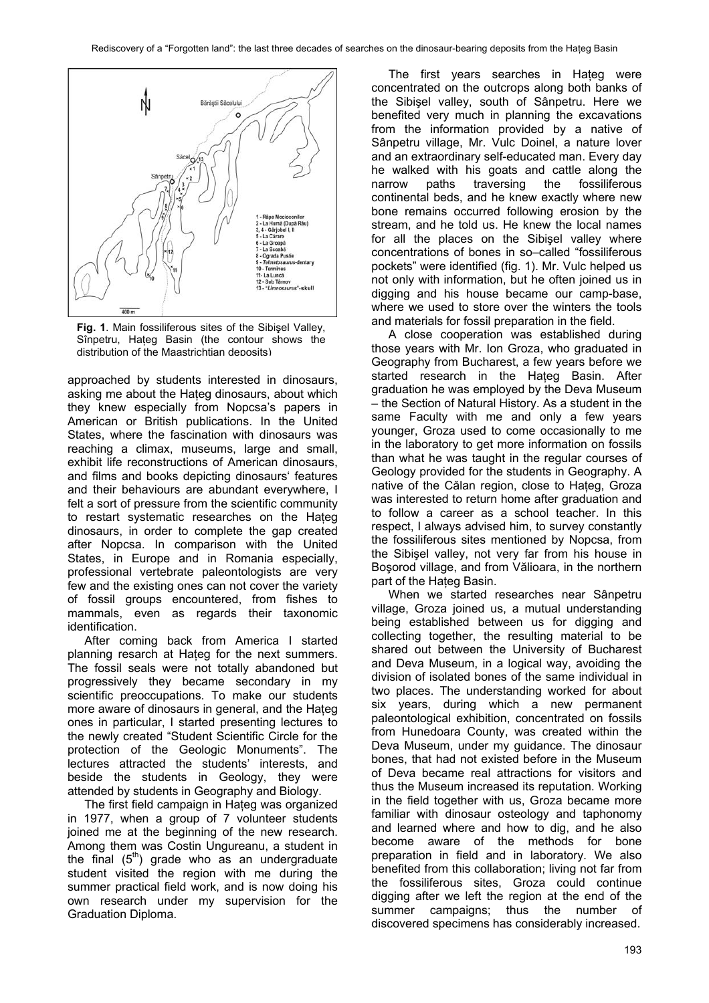

**Fig. 1**. Main fossiliferous sites of the Sibişel Valley, Sînpetru, Hațeg Basin (the contour shows the distribution of the Maastrichtian deposits)

approached by students interested in dinosaurs, asking me about the Hateg dinosaurs, about which they knew especially from Nopcsa's papers in American or British publications. In the United States, where the fascination with dinosaurs was reaching a climax, museums, large and small, exhibit life reconstructions of American dinosaurs, and films and books depicting dinosaurs' features and their behaviours are abundant everywhere, I felt a sort of pressure from the scientific community to restart systematic researches on the Hateg dinosaurs, in order to complete the gap created after Nopcsa. In comparison with the United States, in Europe and in Romania especially, professional vertebrate paleontologists are very few and the existing ones can not cover the variety of fossil groups encountered, from fishes to mammals, even as regards their taxonomic identification.

After coming back from America I started planning resarch at Haţeg for the next summers. The fossil seals were not totally abandoned but progressively they became secondary in my scientific preoccupations. To make our students more aware of dinosaurs in general, and the Hateg ones in particular, I started presenting lectures to the newly created "Student Scientific Circle for the protection of the Geologic Monuments". The lectures attracted the students' interests, and beside the students in Geology, they were attended by students in Geography and Biology.

The first field campaign in Hateg was organized in 1977, when a group of 7 volunteer students joined me at the beginning of the new research. Among them was Costin Ungureanu, a student in the final  $(5<sup>th</sup>)$  grade who as an undergraduate student visited the region with me during the summer practical field work, and is now doing his own research under my supervision for the Graduation Diploma.

The first years searches in Hateg were concentrated on the outcrops along both banks of the Sibişel valley, south of Sânpetru. Here we benefited very much in planning the excavations from the information provided by a native of Sânpetru village, Mr. Vulc Doinel, a nature lover and an extraordinary self-educated man. Every day he walked with his goats and cattle along the narrow paths traversing the fossiliferous continental beds, and he knew exactly where new bone remains occurred following erosion by the stream, and he told us. He knew the local names for all the places on the Sibişel valley where concentrations of bones in so–called "fossiliferous pockets" were identified (fig. 1). Mr. Vulc helped us not only with information, but he often joined us in digging and his house became our camp-base, where we used to store over the winters the tools and materials for fossil preparation in the field.

A close cooperation was established during those years with Mr. Ion Groza, who graduated in Geography from Bucharest, a few years before we started research in the Hateg Basin. After graduation he was employed by the Deva Museum – the Section of Natural History. As a student in the same Faculty with me and only a few years younger, Groza used to come occasionally to me in the laboratory to get more information on fossils than what he was taught in the regular courses of Geology provided for the students in Geography. A native of the Călan region, close to Hateg, Groza was interested to return home after graduation and to follow a career as a school teacher. In this respect, I always advised him, to survey constantly the fossiliferous sites mentioned by Nopcsa, from the Sibişel valley, not very far from his house in Boşorod village, and from Vălioara, in the northern part of the Hateg Basin.

When we started researches near Sânpetru village, Groza joined us, a mutual understanding being established between us for digging and collecting together, the resulting material to be shared out between the University of Bucharest and Deva Museum, in a logical way, avoiding the division of isolated bones of the same individual in two places. The understanding worked for about six years, during which a new permanent paleontological exhibition, concentrated on fossils from Hunedoara County, was created within the Deva Museum, under my guidance. The dinosaur bones, that had not existed before in the Museum of Deva became real attractions for visitors and thus the Museum increased its reputation. Working in the field together with us, Groza became more familiar with dinosaur osteology and taphonomy and learned where and how to dig, and he also become aware of the methods for bone preparation in field and in laboratory. We also benefited from this collaboration; living not far from the fossiliferous sites, Groza could continue digging after we left the region at the end of the summer campaigns: thus the number of discovered specimens has considerably increased.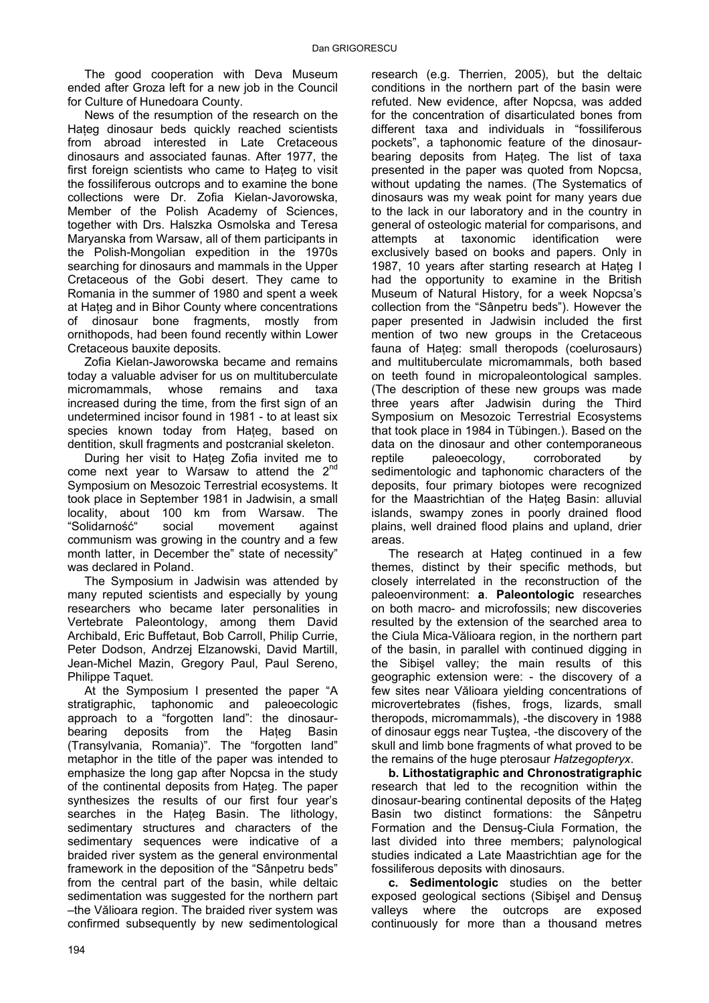The good cooperation with Deva Museum ended after Groza left for a new job in the Council for Culture of Hunedoara County.

News of the resumption of the research on the Hateg dinosaur beds quickly reached scientists from abroad interested in Late Cretaceous dinosaurs and associated faunas. After 1977, the first foreign scientists who came to Hateg to visit the fossiliferous outcrops and to examine the bone collections were Dr. Zofia Kielan-Javorowska, Member of the Polish Academy of Sciences, together with Drs. Halszka Osmolska and Teresa Maryanska from Warsaw, all of them participants in the Polish-Mongolian expedition in the 1970s searching for dinosaurs and mammals in the Upper Cretaceous of the Gobi desert. They came to Romania in the summer of 1980 and spent a week at Hateg and in Bihor County where concentrations of dinosaur bone fragments, mostly from ornithopods, had been found recently within Lower Cretaceous bauxite deposits.

Zofia Kielan-Jaworowska became and remains today a valuable adviser for us on multituberculate micromammals, whose remains and taxa increased during the time, from the first sign of an undetermined incisor found in 1981 - to at least six species known today from Hateg, based on dentition, skull fragments and postcranial skeleton.

During her visit to Hateg Zofia invited me to come next year to Warsaw to attend the 2<sup>nd</sup> Symposium on Mesozoic Terrestrial ecosystems. It took place in September 1981 in Jadwisin, a small locality, about 100 km from Warsaw. The "Solidarność" social movement against communism was growing in the country and a few month latter, in December the" state of necessity" was declared in Poland.

The Symposium in Jadwisin was attended by many reputed scientists and especially by young researchers who became later personalities in Vertebrate Paleontology, among them David Archibald, Eric Buffetaut, Bob Carroll, Philip Currie, Peter Dodson, Andrzej Elzanowski, David Martill, Jean-Michel Mazin, Gregory Paul, Paul Sereno, Philippe Taquet.

At the Symposium I presented the paper "A stratigraphic, taphonomic and paleoecologic approach to a "forgotten land": the dinosaurbearing deposits from the Hateg Basin (Transylvania, Romania)". The "forgotten land" metaphor in the title of the paper was intended to emphasize the long gap after Nopcsa in the study of the continental deposits from Haţeg. The paper synthesizes the results of our first four year's searches in the Hateg Basin. The lithology, sedimentary structures and characters of the sedimentary sequences were indicative of a braided river system as the general environmental framework in the deposition of the "Sânpetru beds" from the central part of the basin, while deltaic sedimentation was suggested for the northern part –the Vălioara region. The braided river system was confirmed subsequently by new sedimentological research (e.g. Therrien, 2005), but the deltaic conditions in the northern part of the basin were refuted. New evidence, after Nopcsa, was added for the concentration of disarticulated bones from different taxa and individuals in "fossiliferous pockets", a taphonomic feature of the dinosaurbearing deposits from Hateg. The list of taxa presented in the paper was quoted from Nopcsa, without updating the names. (The Systematics of dinosaurs was my weak point for many years due to the lack in our laboratory and in the country in general of osteologic material for comparisons, and attempts at taxonomic identification were exclusively based on books and papers. Only in 1987, 10 years after starting research at Haţeg I had the opportunity to examine in the British Museum of Natural History, for a week Nopcsa's collection from the "Sânpetru beds"). However the paper presented in Jadwisin included the first mention of two new groups in the Cretaceous fauna of Hateg: small theropods (coelurosaurs) and multituberculate micromammals, both based on teeth found in micropaleontological samples. (The description of these new groups was made three years after Jadwisin during the Third Symposium on Mesozoic Terrestrial Ecosystems that took place in 1984 in Tübingen.). Based on the data on the dinosaur and other contemporaneous reptile paleoecology, corroborated by sedimentologic and taphonomic characters of the deposits, four primary biotopes were recognized for the Maastrichtian of the Hateg Basin: alluvial islands, swampy zones in poorly drained flood plains, well drained flood plains and upland, drier areas.

The research at Hateg continued in a few themes, distinct by their specific methods, but closely interrelated in the reconstruction of the paleoenvironment: **a**. **Paleontologic** researches on both macro- and microfossils; new discoveries resulted by the extension of the searched area to the Ciula Mica-Vălioara region, in the northern part of the basin, in parallel with continued digging in the Sibişel valley; the main results of this geographic extension were: - the discovery of a few sites near Vălioara yielding concentrations of microvertebrates (fishes, frogs, lizards, small theropods, micromammals), -the discovery in 1988 of dinosaur eggs near Tuştea, -the discovery of the skull and limb bone fragments of what proved to be the remains of the huge pterosaur *Hatzegopteryx*.

**b. Lithostatigraphic and Chronostratigraphic** research that led to the recognition within the dinosaur-bearing continental deposits of the Haţeg Basin two distinct formations: the Sânpetru Formation and the Densuş-Ciula Formation, the last divided into three members; palynological studies indicated a Late Maastrichtian age for the fossiliferous deposits with dinosaurs.

**c. Sedimentologic** studies on the better exposed geological sections (Sibişel and Densuş valleys where the outcrops are exposed continuously for more than a thousand metres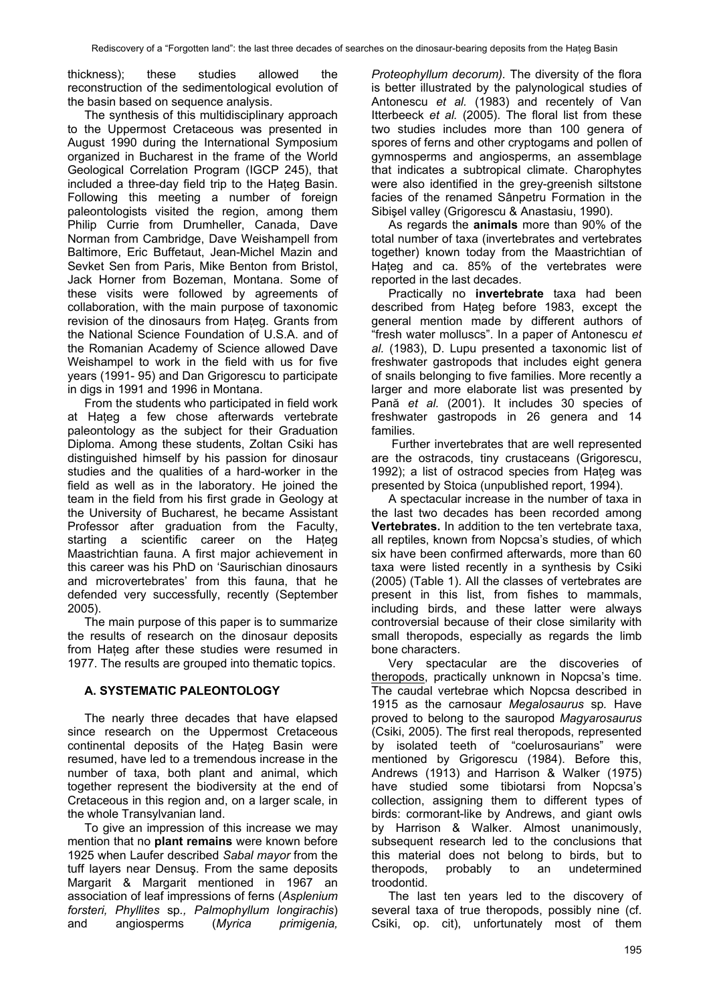thickness); these studies allowed the reconstruction of the sedimentological evolution of the basin based on sequence analysis.

The synthesis of this multidisciplinary approach to the Uppermost Cretaceous was presented in August 1990 during the International Symposium organized in Bucharest in the frame of the World Geological Correlation Program (IGCP 245), that included a three-day field trip to the Hateg Basin. Following this meeting a number of foreign paleontologists visited the region, among them Philip Currie from Drumheller, Canada, Dave Norman from Cambridge, Dave Weishampell from Baltimore, Eric Buffetaut, Jean-Michel Mazin and Sevket Sen from Paris, Mike Benton from Bristol, Jack Horner from Bozeman, Montana. Some of these visits were followed by agreements of collaboration, with the main purpose of taxonomic revision of the dinosaurs from Hateg. Grants from the National Science Foundation of U.S.A. and of the Romanian Academy of Science allowed Dave Weishampel to work in the field with us for five years (1991- 95) and Dan Grigorescu to participate in digs in 1991 and 1996 in Montana.

From the students who participated in field work at Hateg a few chose afterwards vertebrate paleontology as the subject for their Graduation Diploma. Among these students, Zoltan Csiki has distinguished himself by his passion for dinosaur studies and the qualities of a hard-worker in the field as well as in the laboratory. He joined the team in the field from his first grade in Geology at the University of Bucharest, he became Assistant Professor after graduation from the Faculty, starting a scientific career on the Hateg Maastrichtian fauna. A first major achievement in this career was his PhD on 'Saurischian dinosaurs and microvertebrates' from this fauna, that he defended very successfully, recently (September 2005).

The main purpose of this paper is to summarize the results of research on the dinosaur deposits from Hateg after these studies were resumed in 1977. The results are grouped into thematic topics.

# **A. SYSTEMATIC PALEONTOLOGY**

The nearly three decades that have elapsed since research on the Uppermost Cretaceous continental deposits of the Hateg Basin were resumed, have led to a tremendous increase in the number of taxa, both plant and animal, which together represent the biodiversity at the end of Cretaceous in this region and, on a larger scale, in the whole Transylvanian land.

To give an impression of this increase we may mention that no **plant remains** were known before 1925 when Laufer described *Sabal mayor* from the tuff layers near Densuş. From the same deposits Margarit & Margarit mentioned in 1967 an association of leaf impressions of ferns (*Asplenium forsteri, Phyllites* sp*., Palmophyllum longirachis*) and angiosperms (*Myrica primigenia,*  *Proteophyllum decorum).* The diversity of the flora is better illustrated by the palynological studies of Antonescu *et al.* (1983) and recentely of Van Itterbeeck *et al.* (2005). The floral list from these two studies includes more than 100 genera of spores of ferns and other cryptogams and pollen of gymnosperms and angiosperms, an assemblage that indicates a subtropical climate. Charophytes were also identified in the grey-greenish siltstone facies of the renamed Sânpetru Formation in the Sibişel valley (Grigorescu & Anastasiu, 1990).

As regards the **animals** more than 90% of the total number of taxa (invertebrates and vertebrates together) known today from the Maastrichtian of Hateg and ca. 85% of the vertebrates were reported in the last decades.

Practically no **invertebrate** taxa had been described from Hateg before 1983, except the general mention made by different authors of "fresh water molluscs". In a paper of Antonescu *et al.* (1983), D. Lupu presented a taxonomic list of freshwater gastropods that includes eight genera of snails belonging to five families. More recently a larger and more elaborate list was presented by Pană *et al.* (2001). It includes 30 species of freshwater gastropods in 26 genera and 14 families.

 Further invertebrates that are well represented are the ostracods, tiny crustaceans (Grigorescu, 1992); a list of ostracod species from Haţeg was presented by Stoica (unpublished report, 1994).

A spectacular increase in the number of taxa in the last two decades has been recorded among **Vertebrates.** In addition to the ten vertebrate taxa, all reptiles, known from Nopcsa's studies, of which six have been confirmed afterwards, more than 60 taxa were listed recently in a synthesis by Csiki (2005) (Table 1). All the classes of vertebrates are present in this list, from fishes to mammals, including birds, and these latter were always controversial because of their close similarity with small theropods, especially as regards the limb bone characters.

Very spectacular are the discoveries of theropods, practically unknown in Nopcsa's time. The caudal vertebrae which Nopcsa described in 1915 as the carnosaur *Megalosaurus* sp*.* Have proved to belong to the sauropod *Magyarosaurus* (Csiki, 2005). The first real theropods, represented by isolated teeth of "coelurosaurians" were mentioned by Grigorescu (1984). Before this, Andrews (1913) and Harrison & Walker (1975) have studied some tibiotarsi from Nopcsa's collection, assigning them to different types of birds: cormorant-like by Andrews, and giant owls by Harrison & Walker. Almost unanimously, subsequent research led to the conclusions that this material does not belong to birds, but to theropods, probably to an undetermined troodontid.

The last ten years led to the discovery of several taxa of true theropods, possibly nine (cf. Csiki, op. cit), unfortunately most of them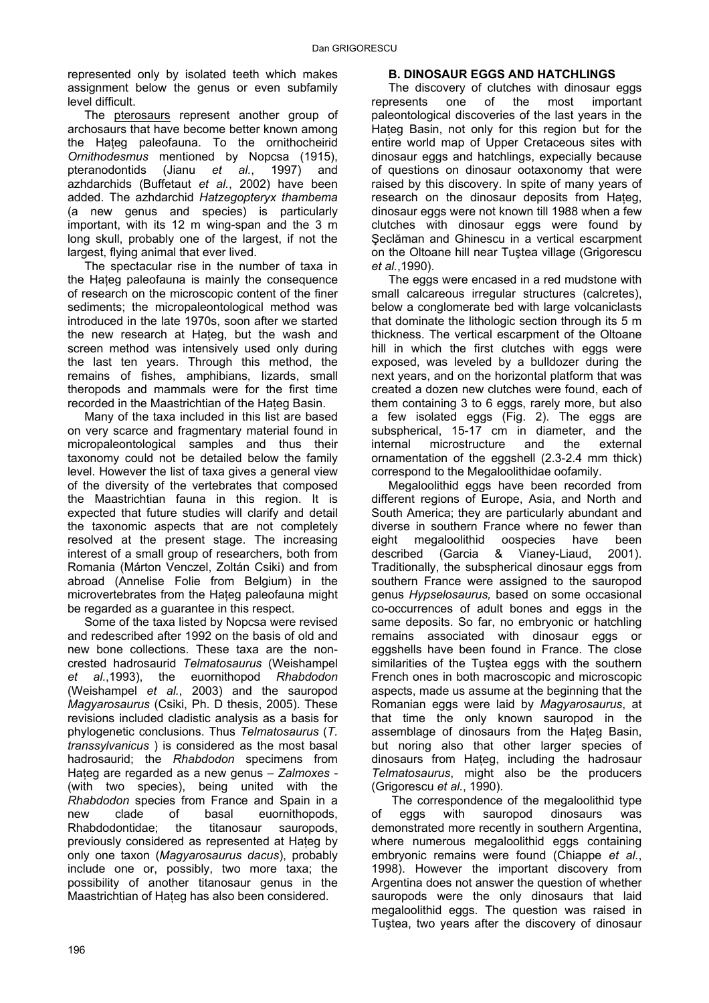represented only by isolated teeth which makes assignment below the genus or even subfamily level difficult.

The pterosaurs represent another group of archosaurs that have become better known among the Hateg paleofauna. To the ornithocheirid *Ornithodesmus* mentioned by Nopcsa (1915), pteranodontids (Jianu *et al.*, 1997) and azhdarchids (Buffetaut *et al.*, 2002) have been added. The azhdarchid *Hatzegopteryx thambema* (a new genus and species) is particularly important, with its 12 m wing-span and the 3 m long skull, probably one of the largest, if not the largest, flying animal that ever lived.

The spectacular rise in the number of taxa in the Hateg paleofauna is mainly the consequence of research on the microscopic content of the finer sediments; the micropaleontological method was introduced in the late 1970s, soon after we started the new research at Hateg, but the wash and screen method was intensively used only during the last ten years. Through this method, the remains of fishes, amphibians, lizards, small theropods and mammals were for the first time recorded in the Maastrichtian of the Hateg Basin.

Many of the taxa included in this list are based on very scarce and fragmentary material found in micropaleontological samples and thus their taxonomy could not be detailed below the family level. However the list of taxa gives a general view of the diversity of the vertebrates that composed the Maastrichtian fauna in this region. It is expected that future studies will clarify and detail the taxonomic aspects that are not completely resolved at the present stage. The increasing interest of a small group of researchers, both from Romania (Márton Venczel, Zoltán Csiki) and from abroad (Annelise Folie from Belgium) in the microvertebrates from the Hateg paleofauna might be regarded as a guarantee in this respect.

Some of the taxa listed by Nopcsa were revised and redescribed after 1992 on the basis of old and new bone collections. These taxa are the noncrested hadrosaurid *Telmatosaurus* (Weishampel *et al.*,1993), the euornithopod *Rhabdodon* (Weishampel *et al.*, 2003) and the sauropod *Magyarosaurus* (Csiki, Ph. D thesis, 2005). These revisions included cladistic analysis as a basis for phylogenetic conclusions. Thus *Telmatosaurus* (*T. transsylvanicus* ) is considered as the most basal hadrosaurid; the *Rhabdodon* specimens from Haţeg are regarded as a new genus – *Zalmoxes -* (with two species), being united with the *Rhabdodon* species from France and Spain in a new clade of basal euornithopods, Rhabdodontidae; the titanosaur sauropods, previously considered as represented at Hateg by only one taxon (*Magyarosaurus dacus*), probably include one or, possibly, two more taxa; the possibility of another titanosaur genus in the Maastrichtian of Hateg has also been considered.

# 196

# **B. DINOSAUR EGGS AND HATCHLINGS**

The discovery of clutches with dinosaur eggs represents one of the most important paleontological discoveries of the last years in the Hateg Basin, not only for this region but for the entire world map of Upper Cretaceous sites with dinosaur eggs and hatchlings, expecially because of questions on dinosaur ootaxonomy that were raised by this discovery. In spite of many years of research on the dinosaur deposits from Hateg. dinosaur eggs were not known till 1988 when a few clutches with dinosaur eggs were found by Şeclăman and Ghinescu in a vertical escarpment on the Oltoane hill near Tuştea village (Grigorescu *et al.*,1990).

The eggs were encased in a red mudstone with small calcareous irregular structures (calcretes), below a conglomerate bed with large volcaniclasts that dominate the lithologic section through its 5 m thickness. The vertical escarpment of the Oltoane hill in which the first clutches with eggs were exposed, was leveled by a bulldozer during the next years, and on the horizontal platform that was created a dozen new clutches were found, each of them containing 3 to 6 eggs, rarely more, but also a few isolated eggs (Fig. 2). The eggs are subspherical, 15-17 cm in diameter, and the internal microstructure and the external ornamentation of the eggshell (2.3-2.4 mm thick) correspond to the Megaloolithidae oofamily.

Megaloolithid eggs have been recorded from different regions of Europe, Asia, and North and South America; they are particularly abundant and diverse in southern France where no fewer than eight megaloolithid oospecies have been described (Garcia & Vianey-Liaud, 2001). Traditionally, the subspherical dinosaur eggs from southern France were assigned to the sauropod genus *Hypselosaurus,* based on some occasional co-occurrences of adult bones and eggs in the same deposits. So far, no embryonic or hatchling remains associated with dinosaur eggs or eggshells have been found in France. The close similarities of the Tuştea eggs with the southern French ones in both macroscopic and microscopic aspects, made us assume at the beginning that the Romanian eggs were laid by *Magyarosaurus*, at that time the only known sauropod in the assemblage of dinosaurs from the Hateg Basin, but noring also that other larger species of dinosaurs from Hateg, including the hadrosaur *Telmatosaurus*, might also be the producers (Grigorescu *et al.*, 1990).

The correspondence of the megaloolithid type of eggs with sauropod dinosaurs was demonstrated more recently in southern Argentina, where numerous megaloolithid eggs containing embryonic remains were found (Chiappe *et al.*, 1998). However the important discovery from Argentina does not answer the question of whether sauropods were the only dinosaurs that laid megaloolithid eggs. The question was raised in Tuştea, two years after the discovery of dinosaur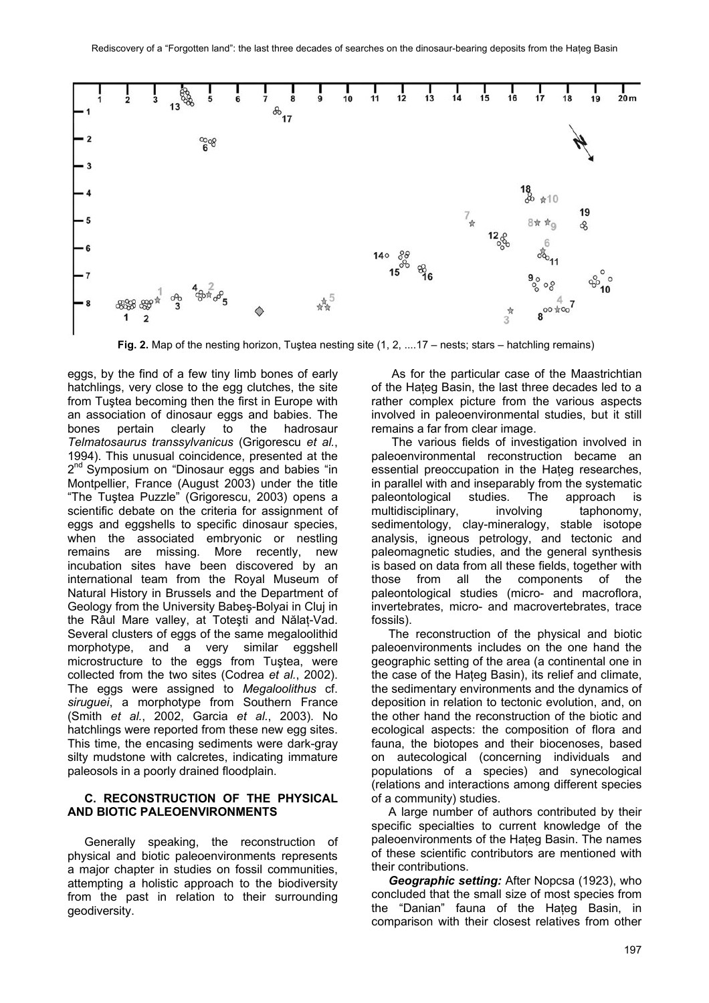

**Fig. 2.** Map of the nesting horizon, Tuştea nesting site (1, 2, ....17 – nests; stars – hatchling remains)

eggs, by the find of a few tiny limb bones of early hatchlings, very close to the egg clutches, the site from Tuştea becoming then the first in Europe with an association of dinosaur eggs and babies. The bones pertain clearly to the hadrosaur *Telmatosaurus transsylvanicus* (Grigorescu *et al.*, 1994). This unusual coincidence, presented at the 2<sup>nd</sup> Symposium on "Dinosaur eggs and babies "in Montpellier, France (August 2003) under the title "The Tuştea Puzzle" (Grigorescu, 2003) opens a scientific debate on the criteria for assignment of eggs and eggshells to specific dinosaur species, when the associated embryonic or nestling remains are missing. More recently, new incubation sites have been discovered by an international team from the Royal Museum of Natural History in Brussels and the Department of Geology from the University Babeş-Bolyai in Cluj in the Râul Mare valley, at Toteşti and Nălaţ-Vad. Several clusters of eggs of the same megaloolithid morphotype, and a very similar eggshell microstructure to the eggs from Tustea, were collected from the two sites (Codrea *et al.*, 2002). The eggs were assigned to *Megaloolithus* cf. *siruguei*, a morphotype from Southern France (Smith *et al.*, 2002, Garcia *et al.*, 2003). No hatchlings were reported from these new egg sites. This time, the encasing sediments were dark-gray silty mudstone with calcretes, indicating immature paleosols in a poorly drained floodplain.

# **C. RECONSTRUCTION OF THE PHYSICAL AND BIOTIC PALEOENVIRONMENTS**

Generally speaking, the reconstruction of physical and biotic paleoenvironments represents a major chapter in studies on fossil communities, attempting a holistic approach to the biodiversity from the past in relation to their surrounding geodiversity.

 As for the particular case of the Maastrichtian of the Hateg Basin, the last three decades led to a rather complex picture from the various aspects involved in paleoenvironmental studies, but it still remains a far from clear image.

 The various fields of investigation involved in paleoenvironmental reconstruction became an essential preoccupation in the Hateg researches, in parallel with and inseparably from the systematic paleontological studies. The approach is multidisciplinary, involving taphonomy, sedimentology, clay-mineralogy, stable isotope analysis, igneous petrology, and tectonic and paleomagnetic studies, and the general synthesis is based on data from all these fields, together with those from all the components of the paleontological studies (micro- and macroflora, invertebrates, micro- and macrovertebrates, trace fossils).

The reconstruction of the physical and biotic paleoenvironments includes on the one hand the geographic setting of the area (a continental one in the case of the Hateg Basin), its relief and climate. the sedimentary environments and the dynamics of deposition in relation to tectonic evolution, and, on the other hand the reconstruction of the biotic and ecological aspects: the composition of flora and fauna, the biotopes and their biocenoses, based on autecological (concerning individuals and populations of a species) and synecological (relations and interactions among different species of a community) studies.

A large number of authors contributed by their specific specialties to current knowledge of the paleoenvironments of the Hateg Basin. The names of these scientific contributors are mentioned with their contributions.

*Geographic setting:* After Nopcsa (1923), who concluded that the small size of most species from the "Danian" fauna of the Hateg Basin, in comparison with their closest relatives from other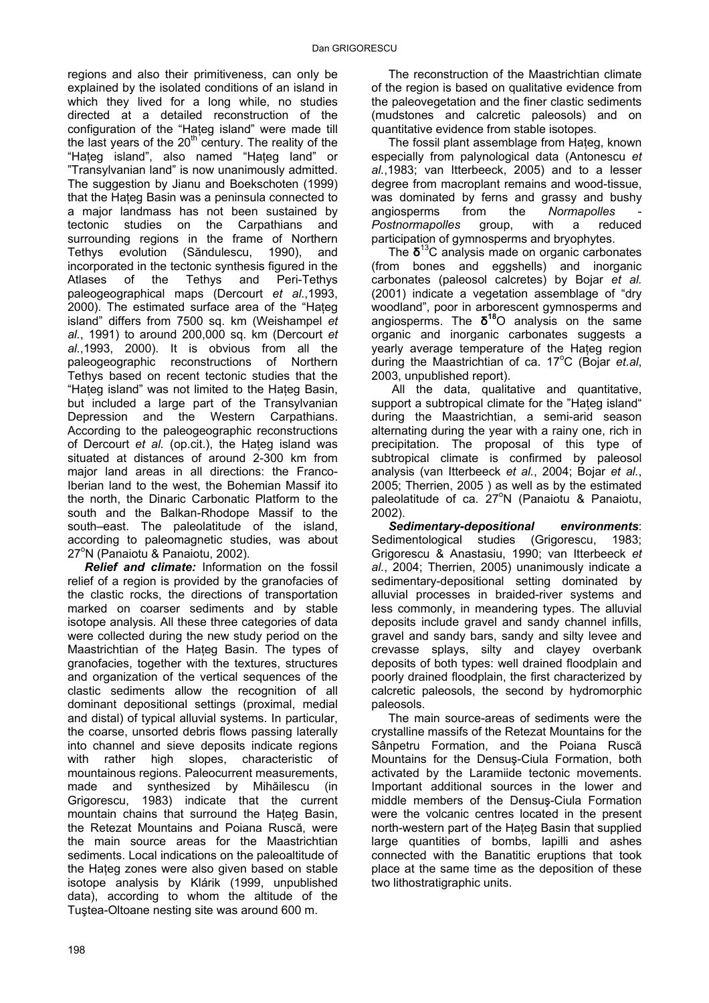regions and also their primitiveness, can only be explained by the isolated conditions of an island in which they lived for a long while, no studies directed at a detailed reconstruction of the configuration of the "Hateg island" were made till the last years of the  $20<sup>th</sup>$  century. The reality of the "Hateg island", also named "Hateg land" or "Transylvanian land" is now unanimously admitted. The suggestion by Jianu and Boekschoten (1999) that the Hateg Basin was a peninsula connected to a major landmass has not been sustained by tectonic studies on the Carpathians and surrounding regions in the frame of Northern Tethys evolution (Săndulescu, 1990), and incorporated in the tectonic synthesis figured in the Atlases of the Tethys and Peri-Tethys paleogeographical maps (Dercourt *et al.*,1993, 2000). The estimated surface area of the "Hateg island" differs from 7500 sq. km (Weishampel *et al.*, 1991) to around 200,000 sq. km (Dercourt *et al.*,1993, 2000). It is obvious from all the paleogeographic reconstructions of Northern Tethys based on recent tectonic studies that the "Hateg island" was not limited to the Hateg Basin, but included a large part of the Transylvanian Depression and the Western Carpathians. According to the paleogeographic reconstructions of Dercourt *et al.* (op.cit.), the Hateg island was situated at distances of around 2-300 km from major land areas in all directions: the Franco-Iberian land to the west, the Bohemian Massif ito the north, the Dinaric Carbonatic Platform to the south and the Balkan-Rhodope Massif to the south–east. The paleolatitude of the island, according to paleomagnetic studies, was about 27<sup>°</sup>N (Panaiotu & Panaiotu, 2002).

*Relief and climate:* Information on the fossil relief of a region is provided by the granofacies of the clastic rocks, the directions of transportation marked on coarser sediments and by stable isotope analysis. All these three categories of data were collected during the new study period on the Maastrichtian of the Haţeg Basin. The types of granofacies, together with the textures, structures and organization of the vertical sequences of the clastic sediments allow the recognition of all dominant depositional settings (proximal, medial and distal) of typical alluvial systems. In particular, the coarse, unsorted debris flows passing laterally into channel and sieve deposits indicate regions with rather high slopes, characteristic of mountainous regions. Paleocurrent measurements, made and synthesized by Mihăilescu (in Grigorescu, 1983) indicate that the current mountain chains that surround the Haţeg Basin, the Retezat Mountains and Poiana Ruscă. were the main source areas for the Maastrichtian sediments. Local indications on the paleoaltitude of the Hateg zones were also given based on stable isotope analysis by Klárik (1999, unpublished data), according to whom the altitude of the Tuştea-Oltoane nesting site was around 600 m.

The reconstruction of the Maastrichtian climate of the region is based on qualitative evidence from the paleovegetation and the finer clastic sediments (mudstones and calcretic paleosols) and on quantitative evidence from stable isotopes.

The fossil plant assemblage from Hateg, known especially from palynological data (Antonescu *et al.*,1983; van Itterbeeck, 2005) and to a lesser degree from macroplant remains and wood-tissue, was dominated by ferns and grassy and bushy angiosperms from the *Normapolles Postnormapolles* group, with a reduced participation of gymnosperms and bryophytes.

The  $\delta^{13}$ C analysis made on organic carbonates (from bones and eggshells) and inorganic carbonates (paleosol calcretes) by Bojar *et al.* (2001) indicate a vegetation assemblage of "dry woodland", poor in arborescent gymnosperms and angiosperms. The **δ<sup>18</sup>**O analysis on the same organic and inorganic carbonates suggests a vearly average temperature of the Hateg region during the Maastrichtian of ca. 17°C (Bojar et.al, 2003, unpublished report).

 All the data, qualitative and quantitative, support a subtropical climate for the "Hateg island" during the Maastrichtian, a semi-arid season alternating during the year with a rainy one, rich in precipitation. The proposal of this type of subtropical climate is confirmed by paleosol analysis (van Itterbeeck *et al.*, 2004; Bojar *et al.*, 2005; Therrien, 2005 ) as well as by the estimated paleolatitude of ca.  $27^{\circ}$ N (Panaiotu & Panaiotu, 2002).

*Sedimentary-depositional environments*: Sedimentological studies (Grigorescu, 1983; Grigorescu & Anastasiu, 1990; van Itterbeeck *et al.*, 2004; Therrien, 2005) unanimously indicate a sedimentary-depositional setting dominated by alluvial processes in braided-river systems and less commonly, in meandering types. The alluvial deposits include gravel and sandy channel infills, gravel and sandy bars, sandy and silty levee and crevasse splays, silty and clayey overbank deposits of both types: well drained floodplain and poorly drained floodplain, the first characterized by calcretic paleosols, the second by hydromorphic paleosols.

The main source-areas of sediments were the crystalline massifs of the Retezat Mountains for the Sânpetru Formation, and the Poiana Ruscă Mountains for the Densuş-Ciula Formation, both activated by the Laramiide tectonic movements. Important additional sources in the lower and middle members of the Densuş-Ciula Formation were the volcanic centres located in the present north-western part of the Hateg Basin that supplied large quantities of bombs, lapilli and ashes connected with the Banatitic eruptions that took place at the same time as the deposition of these two lithostratigraphic units.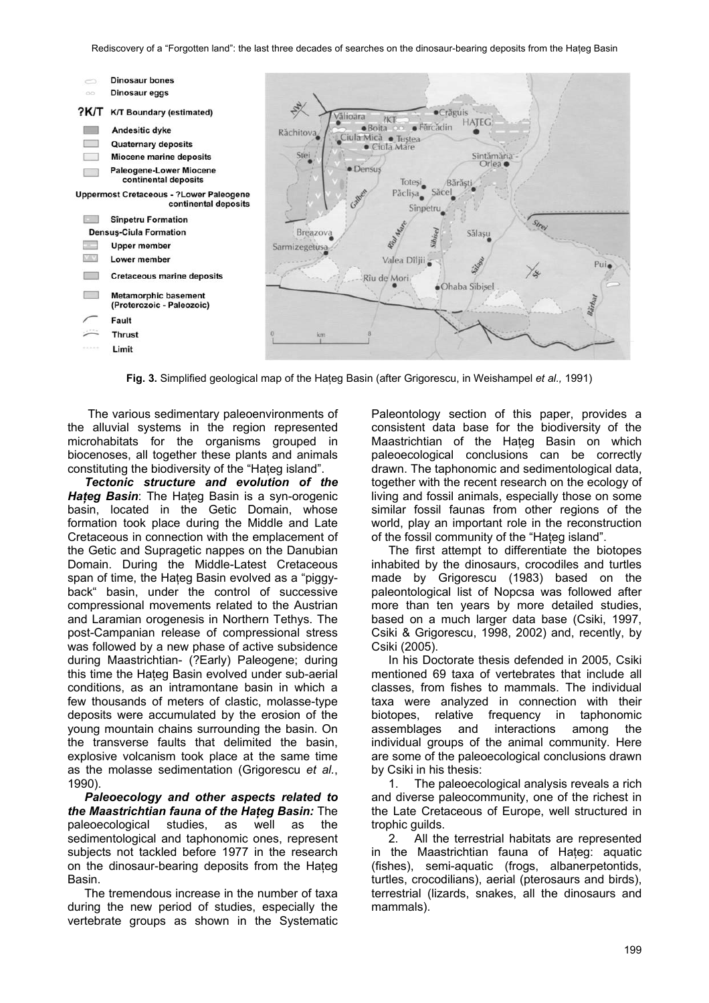

**Fig. 3.** Simplified geological map of the Hateg Basin (after Grigorescu, in Weishampel *et al.*, 1991)

The various sedimentary paleoenvironments of the alluvial systems in the region represented microhabitats for the organisms grouped in biocenoses, all together these plants and animals constituting the biodiversity of the "Hateg island".

*Tectonic structure and evolution of the Hateg Basin*: The Hateg Basin is a syn-orogenic basin, located in the Getic Domain, whose formation took place during the Middle and Late Cretaceous in connection with the emplacement of the Getic and Supragetic nappes on the Danubian Domain. During the Middle-Latest Cretaceous span of time, the Hateg Basin evolved as a "piggyback" basin, under the control of successive compressional movements related to the Austrian and Laramian orogenesis in Northern Tethys. The post-Campanian release of compressional stress was followed by a new phase of active subsidence during Maastrichtian- (?Early) Paleogene; during this time the Hateg Basin evolved under sub-aerial conditions, as an intramontane basin in which a few thousands of meters of clastic, molasse-type deposits were accumulated by the erosion of the young mountain chains surrounding the basin. On the transverse faults that delimited the basin, explosive volcanism took place at the same time as the molasse sedimentation (Grigorescu *et al.*, 1990).

*Paleoecology and other aspects related to the Maastrichtian fauna of the Haţeg Basin:* The paleoecological studies, as well as the sedimentological and taphonomic ones, represent subjects not tackled before 1977 in the research on the dinosaur-bearing deposits from the Hateg Basin.

The tremendous increase in the number of taxa during the new period of studies, especially the vertebrate groups as shown in the Systematic Paleontology section of this paper, provides a consistent data base for the biodiversity of the Maastrichtian of the Haţeg Basin on which paleoecological conclusions can be correctly drawn. The taphonomic and sedimentological data, together with the recent research on the ecology of living and fossil animals, especially those on some similar fossil faunas from other regions of the world, play an important role in the reconstruction of the fossil community of the "Haţeg island".

The first attempt to differentiate the biotopes inhabited by the dinosaurs, crocodiles and turtles made by Grigorescu (1983) based on the paleontological list of Nopcsa was followed after more than ten years by more detailed studies, based on a much larger data base (Csiki, 1997, Csiki & Grigorescu, 1998, 2002) and, recently, by Csiki (2005).

In his Doctorate thesis defended in 2005, Csiki mentioned 69 taxa of vertebrates that include all classes, from fishes to mammals. The individual taxa were analyzed in connection with their biotopes, relative frequency in taphonomic assemblages and interactions among the individual groups of the animal community. Here are some of the paleoecological conclusions drawn by Csiki in his thesis:

1. The paleoecological analysis reveals a rich and diverse paleocommunity, one of the richest in the Late Cretaceous of Europe, well structured in trophic guilds.

2. All the terrestrial habitats are represented in the Maastrichtian fauna of Hateg: aquatic (fishes), semi-aquatic (frogs, albanerpetontids, turtles, crocodilians), aerial (pterosaurs and birds), terrestrial (lizards, snakes, all the dinosaurs and mammals).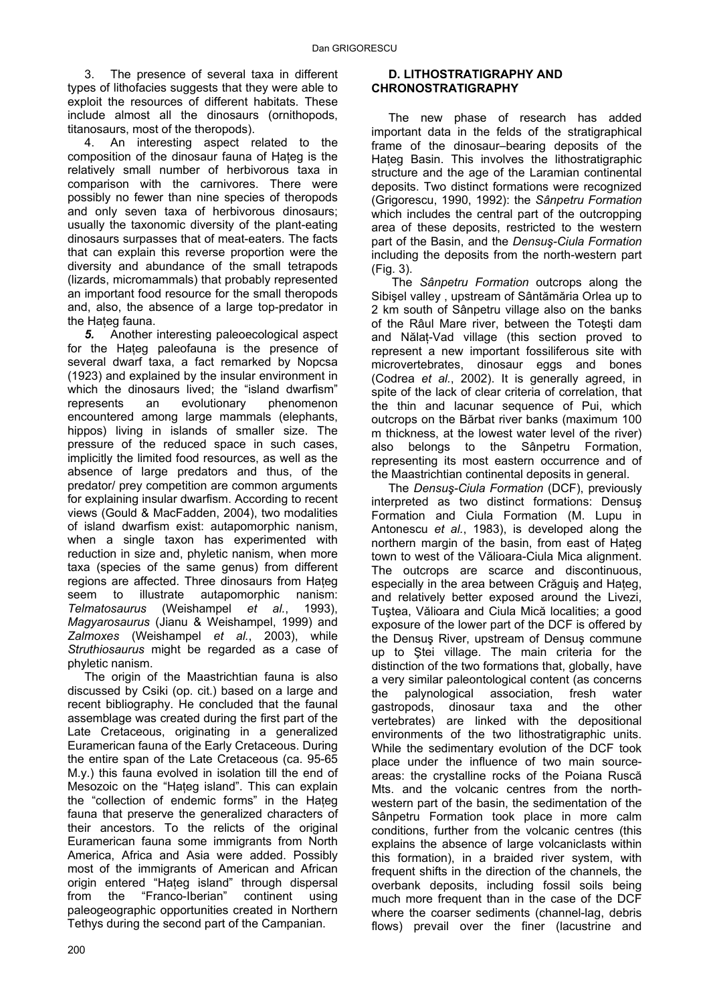3. The presence of several taxa in different types of lithofacies suggests that they were able to exploit the resources of different habitats. These include almost all the dinosaurs (ornithopods, titanosaurs, most of the theropods).

4. An interesting aspect related to the composition of the dinosaur fauna of Hateg is the relatively small number of herbivorous taxa in comparison with the carnivores. There were possibly no fewer than nine species of theropods and only seven taxa of herbivorous dinosaurs; usually the taxonomic diversity of the plant-eating dinosaurs surpasses that of meat-eaters. The facts that can explain this reverse proportion were the diversity and abundance of the small tetrapods (lizards, micromammals) that probably represented an important food resource for the small theropods and, also, the absence of a large top-predator in the Hateg fauna.

*5.* Another interesting paleoecological aspect for the Haţeg paleofauna is the presence of several dwarf taxa, a fact remarked by Nopcsa (1923) and explained by the insular environment in which the dinosaurs lived; the "island dwarfism" represents an evolutionary phenomenon encountered among large mammals (elephants, hippos) living in islands of smaller size. The pressure of the reduced space in such cases, implicitly the limited food resources, as well as the absence of large predators and thus, of the predator/ prey competition are common arguments for explaining insular dwarfism. According to recent views (Gould & MacFadden, 2004), two modalities of island dwarfism exist: autapomorphic nanism, when a single taxon has experimented with reduction in size and, phyletic nanism, when more taxa (species of the same genus) from different regions are affected. Three dinosaurs from Hateg seem to illustrate autapomorphic nanism: *Telmatosaurus* (Weishampel *et al.*, 1993), *Magyarosaurus* (Jianu & Weishampel, 1999) and *Zalmoxes* (Weishampel *et al.*, 2003), while *Struthiosaurus* might be regarded as a case of phyletic nanism.

The origin of the Maastrichtian fauna is also discussed by Csiki (op. cit.) based on a large and recent bibliography. He concluded that the faunal assemblage was created during the first part of the Late Cretaceous, originating in a generalized Euramerican fauna of the Early Cretaceous. During the entire span of the Late Cretaceous (ca. 95-65 M.y.) this fauna evolved in isolation till the end of Mesozoic on the "Haţeg island". This can explain the "collection of endemic forms" in the Haţeg fauna that preserve the generalized characters of their ancestors. To the relicts of the original Euramerican fauna some immigrants from North America, Africa and Asia were added. Possibly most of the immigrants of American and African origin entered "Haţeg island" through dispersal from the "Franco-Iberian" continent using paleogeographic opportunities created in Northern Tethys during the second part of the Campanian.

# **D. LITHOSTRATIGRAPHY AND CHRONOSTRATIGRAPHY**

The new phase of research has added important data in the felds of the stratigraphical frame of the dinosaur–bearing deposits of the Hateg Basin. This involves the lithostratigraphic structure and the age of the Laramian continental deposits. Two distinct formations were recognized (Grigorescu, 1990, 1992): the *Sânpetru Formation* which includes the central part of the outcropping area of these deposits, restricted to the western part of the Basin, and the *Densuş-Ciula Formation* including the deposits from the north-western part (Fig. 3).

 The *Sânpetru Formation* outcrops along the Sibişel valley , upstream of Sântămăria Orlea up to 2 km south of Sânpetru village also on the banks of the Râul Mare river, between the Toteşti dam and Nălat-Vad village (this section proved to represent a new important fossiliferous site with microvertebrates, dinosaur eggs and bones (Codrea *et al.*, 2002). It is generally agreed, in spite of the lack of clear criteria of correlation, that the thin and lacunar sequence of Pui, which outcrops on the Bărbat river banks (maximum 100 m thickness, at the lowest water level of the river) also belongs to the Sânpetru Formation, representing its most eastern occurrence and of the Maastrichtian continental deposits in general.

The *Densuş-Ciula Formation* (DCF), previously interpreted as two distinct formations: Densuş Formation and Ciula Formation (M. Lupu in Antonescu *et al.*, 1983), is developed along the northern margin of the basin, from east of Hateg town to west of the Vălioara-Ciula Mica alignment. The outcrops are scarce and discontinuous, especially in the area between Crăguis and Hateg. and relatively better exposed around the Livezi, Tuştea, Vălioara and Ciula Mică localities; a good exposure of the lower part of the DCF is offered by the Densuş River, upstream of Densuş commune up to Ştei village. The main criteria for the distinction of the two formations that, globally, have a very similar paleontological content (as concerns the palynological association, fresh water gastropods, dinosaur taxa and the other vertebrates) are linked with the depositional environments of the two lithostratigraphic units. While the sedimentary evolution of the DCF took place under the influence of two main sourceareas: the crystalline rocks of the Poiana Ruscă Mts. and the volcanic centres from the northwestern part of the basin, the sedimentation of the Sânpetru Formation took place in more calm conditions, further from the volcanic centres (this explains the absence of large volcaniclasts within this formation), in a braided river system, with frequent shifts in the direction of the channels, the overbank deposits, including fossil soils being much more frequent than in the case of the DCF where the coarser sediments (channel-lag, debris flows) prevail over the finer (lacustrine and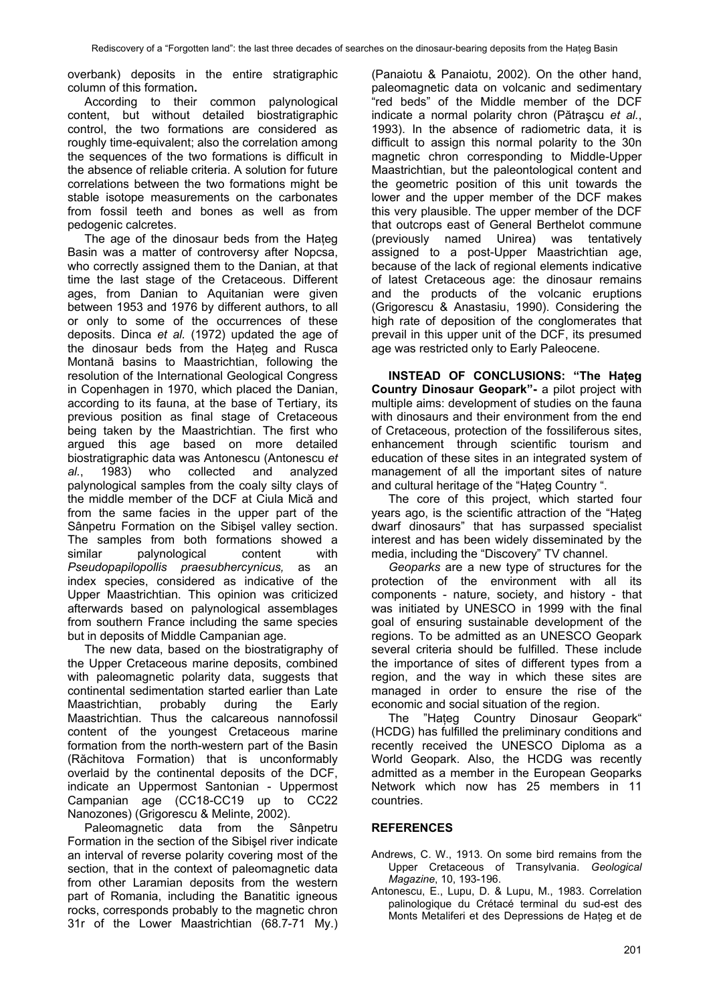overbank) deposits in the entire stratigraphic column of this formation**.** 

According to their common palynological content, but without detailed biostratigraphic control, the two formations are considered as roughly time-equivalent; also the correlation among the sequences of the two formations is difficult in the absence of reliable criteria. A solution for future correlations between the two formations might be stable isotope measurements on the carbonates from fossil teeth and bones as well as from pedogenic calcretes.

The age of the dinosaur beds from the Haţeg Basin was a matter of controversy after Nopcsa, who correctly assigned them to the Danian, at that time the last stage of the Cretaceous. Different ages, from Danian to Aquitanian were given between 1953 and 1976 by different authors, to all or only to some of the occurrences of these deposits. Dinca *et al.* (1972) updated the age of the dinosaur beds from the Hateg and Rusca Montană basins to Maastrichtian, following the resolution of the International Geological Congress in Copenhagen in 1970, which placed the Danian, according to its fauna, at the base of Tertiary, its previous position as final stage of Cretaceous being taken by the Maastrichtian. The first who argued this age based on more detailed biostratigraphic data was Antonescu (Antonescu *et al.*, 1983) who collected and analyzed palynological samples from the coaly silty clays of the middle member of the DCF at Ciula Mică and from the same facies in the upper part of the Sânpetru Formation on the Sibişel valley section. The samples from both formations showed a similar palynological content with *Pseudopapilopollis praesubhercynicus,* as an index species, considered as indicative of the Upper Maastrichtian. This opinion was criticized afterwards based on palynological assemblages from southern France including the same species but in deposits of Middle Campanian age.

The new data, based on the biostratigraphy of the Upper Cretaceous marine deposits, combined with paleomagnetic polarity data, suggests that continental sedimentation started earlier than Late Maastrichtian, probably during the Early Maastrichtian. Thus the calcareous nannofossil content of the youngest Cretaceous marine formation from the north-western part of the Basin (Răchitova Formation) that is unconformably overlaid by the continental deposits of the DCF, indicate an Uppermost Santonian - Uppermost Campanian age (CC18-CC19 up to CC22 Nanozones) (Grigorescu & Melinte, 2002).

Paleomagnetic data from the Sânpetru Formation in the section of the Sibişel river indicate an interval of reverse polarity covering most of the section, that in the context of paleomagnetic data from other Laramian deposits from the western part of Romania, including the Banatitic igneous rocks, corresponds probably to the magnetic chron 31r of the Lower Maastrichtian (68.7-71 My.) (Panaiotu & Panaiotu, 2002). On the other hand, paleomagnetic data on volcanic and sedimentary "red beds" of the Middle member of the DCF indicate a normal polarity chron (Pătraşcu *et al.*, 1993). In the absence of radiometric data, it is difficult to assign this normal polarity to the 30n magnetic chron corresponding to Middle-Upper Maastrichtian, but the paleontological content and the geometric position of this unit towards the lower and the upper member of the DCF makes this very plausible. The upper member of the DCF that outcrops east of General Berthelot commune (previously named Unirea) was tentatively assigned to a post-Upper Maastrichtian age, because of the lack of regional elements indicative of latest Cretaceous age: the dinosaur remains and the products of the volcanic eruptions (Grigorescu & Anastasiu, 1990). Considering the high rate of deposition of the conglomerates that prevail in this upper unit of the DCF, its presumed age was restricted only to Early Paleocene.

**INSTEAD OF CONCLUSIONS: "The Haţeg Country Dinosaur Geopark"-** a pilot project with multiple aims: development of studies on the fauna with dinosaurs and their environment from the end of Cretaceous, protection of the fossiliferous sites, enhancement through scientific tourism and education of these sites in an integrated system of management of all the important sites of nature and cultural heritage of the "Hateg Country ".

The core of this project, which started four years ago, is the scientific attraction of the "Haţeg dwarf dinosaurs" that has surpassed specialist interest and has been widely disseminated by the media, including the "Discovery" TV channel.

*Geoparks* are a new type of structures for the protection of the environment with all its components - nature, society, and history - that was initiated by UNESCO in 1999 with the final goal of ensuring sustainable development of the regions. To be admitted as an UNESCO Geopark several criteria should be fulfilled. These include the importance of sites of different types from a region, and the way in which these sites are managed in order to ensure the rise of the economic and social situation of the region.

The "Hateg Country Dinosaur Geopark" (HCDG) has fulfilled the preliminary conditions and recently received the UNESCO Diploma as a World Geopark. Also, the HCDG was recently admitted as a member in the European Geoparks Network which now has 25 members in 11 countries.

# **REFERENCES**

- Andrews, C. W., 1913. On some bird remains from the Upper Cretaceous of Transylvania. *Geological Magazine*, 10, 193-196.
- Antonescu, E., Lupu, D. & Lupu, M., 1983. Correlation palinologique du Crétacé terminal du sud-est des Monts Metaliferi et des Depressions de Haţeg et de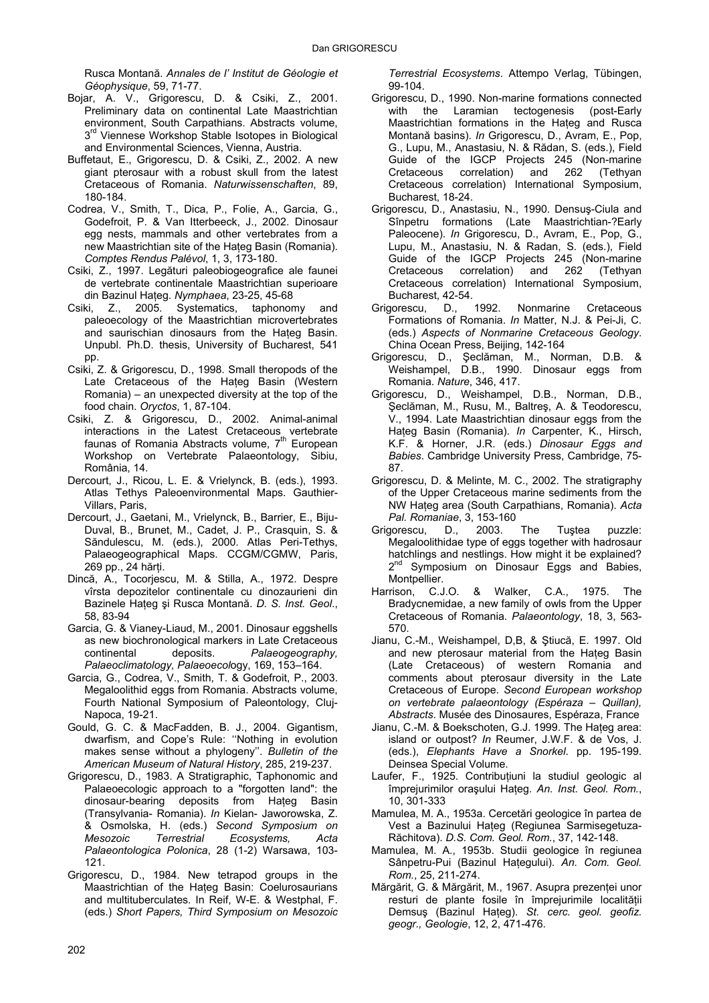Rusca Montană. *Annales de l' Institut de Géologie et Géophysique*, 59, 71-77.

- Bojar, A. V., Grigorescu, D. & Csiki, Z., 2001. Preliminary data on continental Late Maastrichtian environment, South Carpathians. Abstracts volume, 3<sup>rd</sup> Viennese Workshop Stable Isotopes in Biological and Environmental Sciences, Vienna, Austria.
- Buffetaut, E., Grigorescu, D. & Csiki, Z., 2002. A new giant pterosaur with a robust skull from the latest Cretaceous of Romania. *Naturwissenschaften*, 89, 180-184.
- Codrea, V., Smith, T., Dica, P., Folie, A., Garcia, G., Godefroit, P. & Van Itterbeeck, J., 2002. Dinosaur egg nests, mammals and other vertebrates from a new Maastrichtian site of the Hateg Basin (Romania). *Comptes Rendus Palévol*, 1, 3, 173-180.
- Csiki, Z., 1997. Legături paleobiogeografice ale faunei de vertebrate continentale Maastrichtian superioare din Bazinul Haţeg. *Nymphaea*, 23-25, 45-68
- Csiki, Z., 2005. Systematics, taphonomy and paleoecology of the Maastrichtian microvertebrates and saurischian dinosaurs from the Haţeg Basin. Unpubl. Ph.D. thesis, University of Bucharest, 541 pp.
- Csiki, Z. & Grigorescu, D., 1998. Small theropods of the Late Cretaceous of the Hateg Basin (Western Romania) – an unexpected diversity at the top of the food chain. *Oryctos*, 1, 87-104.
- Csiki, Z. & Grigorescu, D., 2002. Animal-animal interactions in the Latest Cretaceous vertebrate faunas of Romania Abstracts volume,  $7<sup>th</sup>$  European Workshop on Vertebrate Palaeontology, Sibiu, România, 14.
- Dercourt, J., Ricou, L. E. & Vrielynck, B. (eds.), 1993. Atlas Tethys Paleoenvironmental Maps. Gauthier-Villars, Paris,
- Dercourt, J., Gaetani, M., Vrielynck, B., Barrier, E., Biju-Duval, B., Brunet, M., Cadet, J. P., Crasquin, S. & Săndulescu, M. (eds.), 2000. Atlas Peri-Tethys, Palaeogeographical Maps. CCGM/CGMW, Paris, 269 pp., 24 hărţi.
- Dincă, A., Tocorjescu, M. & Stilla, A., 1972. Despre vîrsta depozitelor continentale cu dinozaurieni din Bazinele Haţeg şi Rusca Montană. *D. S. Inst. Geol*., 58, 83-94
- Garcia, G. & Vianey-Liaud, M., 2001. Dinosaur eggshells as new biochronological markers in Late Cretaceous continental deposits. *Palaeogeography, Palaeoclimatology, Palaeoecol*ogy, 169, 153–164.
- Garcia, G., Codrea, V., Smith, T. & Godefroit, P., 2003. Megaloolithid eggs from Romania. Abstracts volume, Fourth National Symposium of Paleontology, Cluj-Napoca, 19-21.
- Gould, G. C. & MacFadden, B. J., 2004. Gigantism, dwarfism, and Cope's Rule: ''Nothing in evolution makes sense without a phylogeny''. *Bulletin of the American Museum of Natural History*, 285, 219-237.
- Grigorescu, D., 1983. A Stratigraphic, Taphonomic and Palaeoecologic approach to a "forgotten land": the dinosaur-bearing deposits from Haţeg Basin (Transylvania- Romania). *In* Kielan- Jaworowska, Z. & Osmolska, H. (eds.) *Second Symposium on Mesozoic Terrestrial Ecosystems, Acta Palaeontologica Polonica*, 28 (1-2) Warsawa, 103- 121.
- Grigorescu, D., 1984. New tetrapod groups in the Maastrichtian of the Hateg Basin: Coelurosaurians and multituberculates. In Reif, W-E. & Westphal, F. (eds.) *Short Papers, Third Symposium on Mesozoic*

*Terrestrial Ecosystems*. Attempo Verlag, Tübingen, 99-104.

- Grigorescu, D., 1990. Non-marine formations connected with the Laramian tectogenesis (post-Early Maastrichtian formations in the Haţeg and Rusca Montană basins). *In* Grigorescu, D., Avram, E., Pop, G., Lupu, M., Anastasiu, N. & Rădan, S. (eds.), Field Guide of the IGCP Projects 245 (Non-marine Cretaceous correlation) and 262 (Tethyan Cretaceous correlation) International Symposium, Bucharest, 18-24.
- Grigorescu, D., Anastasiu, N., 1990. Densuş-Ciula and Sînpetru formations (Late Maastrichtian-?Early Paleocene). *In* Grigorescu, D., Avram, E., Pop, G., Lupu, M., Anastasiu, N. & Radan, S. (eds.), Field Guide of the IGCP Projects 245 (Non-marine Cretaceous correlation) and 262 (Tethyan Cretaceous correlation) International Symposium, Bucharest, 42-54.<br>gorescu, D., 1992.
- Grigorescu, D., 1992. Nonmarine Cretaceous Formations of Romania. *In* Matter, N.J. & Pei-Ji, C. (eds.) *Aspects of Nonmarine Cretaceous Geology*. China Ocean Press, Beijing, 142-164
- Grigorescu, D., Şeclăman, M., Norman, D.B. & Weishampel, D.B., 1990. Dinosaur eggs from Romania. *Nature*, 346, 417.
- Grigorescu, D., Weishampel, D.B., Norman, D.B., Şeclăman, M., Rusu, M., Baltreş, A. & Teodorescu, V., 1994. Late Maastrichtian dinosaur eggs from the Hateg Basin (Romania). *In* Carpenter, K., Hirsch, K.F. & Horner, J.R. (eds.) *Dinosaur Eggs and Babies*. Cambridge University Press, Cambridge, 75- 87.
- Grigorescu, D. & Melinte, M. C., 2002. The stratigraphy of the Upper Cretaceous marine sediments from the NW Haţeg area (South Carpathians, Romania). *Acta*
- *Pal. Romaniae*, 3, 153-160 Grigorescu, D., 2003. The Tuştea puzzle: Megaloolithidae type of eggs together with hadrosaur hatchlings and nestlings. How might it be explained? 2<sup>nd</sup> Symposium on Dinosaur Eggs and Babies, Montpellier.
- Harrison, C.J.O. & Walker, C.A., 1975. The Bradycnemidae, a new family of owls from the Upper Cretaceous of Romania. *Palaeontology*, 18, 3, 563- 570.
- Jianu, C.-M., Weishampel, D,B, & Ştiucă, E. 1997. Old and new pterosaur material from the Hateg Basin (Late Cretaceous) of western Romania and comments about pterosaur diversity in the Late Cretaceous of Europe. *Second European workshop on vertebrate palaeontology (Espéraza – Quillan), Abstracts*. Musée des Dinosaures, Espéraza, France
- Jianu, C.-M. & Boekschoten, G.J. 1999. The Hateg area: island or outpost? *In* Reumer, J.W.F. & de Vos, J. (eds.), *Elephants Have a Snorkel*. pp. 195-199. Deinsea Special Volume.
- Laufer, F., 1925. Contribuțiuni la studiul geologic al împrejurimilor oraşului Haţeg. *An. Inst. Geol. Rom.*, 10, 301-333
- Mamulea, M. A., 1953a. Cercetări geologice în partea de Vest a Bazinului Hateg (Regiunea Sarmisegetuza-Răchitova). *D.S. Com. Geol. Rom.*, 37, 142-148.
- Mamulea, M. A., 1953b. Studii geologice în regiunea Sânpetru-Pui (Bazinul Hategului). An. Com. Geol. *Rom.*, 25, 211-274.
- Mărgărit, G. & Mărgărit, M., 1967. Asupra prezenţei unor resturi de plante fosile în împrejurimile localității Demsuş (Bazinul Haţeg). *St. cerc. geol. geofiz. geogr., Geologie*, 12, 2, 471-476.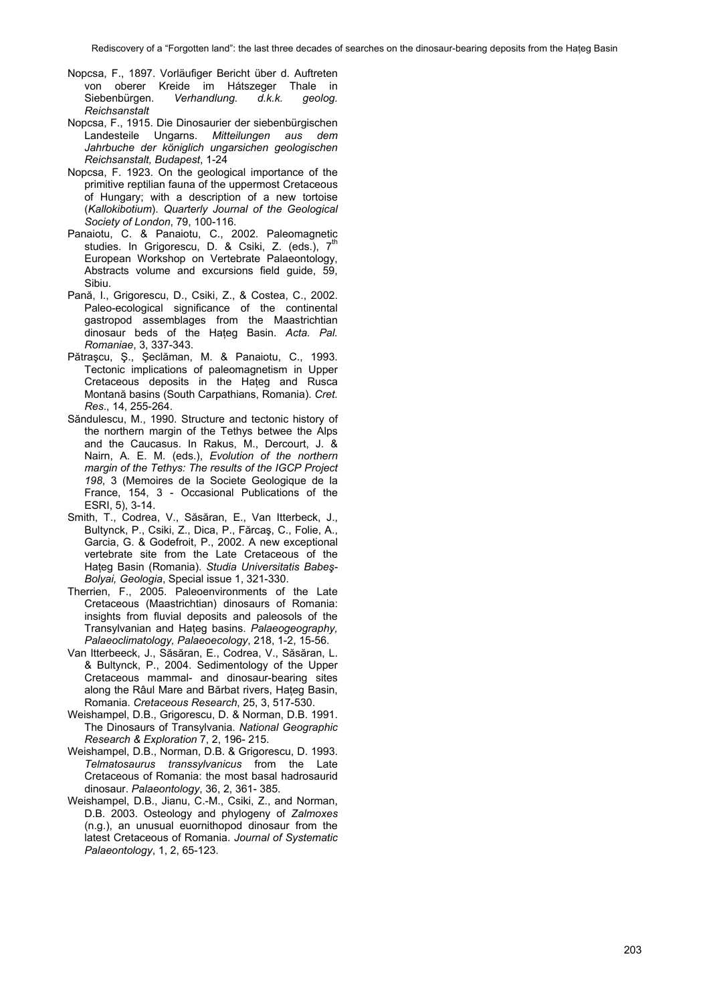- Nopcsa, F., 1897. Vorläufiger Bericht über d. Auftreten von oberer Kreide im Hátszeger Thale in<br>Siebenbürgen. *Verhandlung. d.k.k. geolog.* Siebenbürgen. *Verhandlung. d.k.k. geolog. Reichsanstalt*
- Nopcsa, F., 1915. Die Dinosaurier der siebenbürgischen Landesteile Ungarns. *Mitteilungen aus dem Jahrbuche der königlich ungarsichen geologischen Reichsanstalt, Budapest*, 1-24
- Nopcsa, F. 1923. On the geological importance of the primitive reptilian fauna of the uppermost Cretaceous of Hungary; with a description of a new tortoise (*Kallokibotium*). *Quarterly Journal of the Geological Society of London*, 79, 100-116.
- Panaiotu, C. & Panaiotu, C., 2002. Paleomagnetic studies. In Grigorescu, D. & Csiki, Z. (eds.), 7<sup>th</sup> European Workshop on Vertebrate Palaeontology, Abstracts volume and excursions field guide, 59, Sibiu.
- Pană, I., Grigorescu, D., Csiki, Z., & Costea, C., 2002. Paleo-ecological significance of the continental gastropod assemblages from the Maastrichtian dinosaur beds of the Haţeg Basin. *Acta. Pal. Romaniae*, 3, 337-343.
- Pătraşcu, Ş., Şeclăman, M. & Panaiotu, C., 1993. Tectonic implications of paleomagnetism in Upper Cretaceous deposits in the Hateg and Rusca Montană basins (South Carpathians, Romania). *Cret. Res*., 14, 255-264.
- Săndulescu, M., 1990. Structure and tectonic history of the northern margin of the Tethys betwee the Alps and the Caucasus. In Rakus, M., Dercourt, J. & Nairn, A. E. M. (eds.), *Evolution of the northern margin of the Tethys: The results of the IGCP Project 198*, 3 (Memoires de la Societe Geologique de la France, 154, 3 - Occasional Publications of the ESRI, 5), 3-14.
- Smith, T., Codrea, V., Săsăran, E., Van Itterbeck, J., Bultynck, P., Csiki, Z., Dica, P., Fărcaş, C., Folie, A., Garcia, G. & Godefroit, P., 2002. A new exceptional vertebrate site from the Late Cretaceous of the Haţeg Basin (Romania). *Studia Universitatis Babeş-Bolyai, Geologia*, Special issue 1, 321-330.
- Therrien, F., 2005. Paleoenvironments of the Late Cretaceous (Maastrichtian) dinosaurs of Romania: insights from fluvial deposits and paleosols of the Transylvanian and Haţeg basins. *Palaeogeography, Palaeoclimatology, Palaeoecology*, 218, 1-2, 15-56.
- Van Itterbeeck, J., Săsăran, E., Codrea, V., Săsăran, L. & Bultynck, P., 2004. Sedimentology of the Upper Cretaceous mammal- and dinosaur-bearing sites along the Râul Mare and Bărbat rivers, Hateg Basin, Romania. *Cretaceous Research*, 25, 3, 517-530.
- Weishampel, D.B., Grigorescu, D. & Norman, D.B. 1991. The Dinosaurs of Transylvania. *National Geographic Research & Exploration* 7, 2, 196- 215.
- Weishampel, D.B., Norman, D.B. & Grigorescu, D. 1993. *Telmatosaurus transsylvanicus* from the Late Cretaceous of Romania: the most basal hadrosaurid dinosaur. *Palaeontology*, 36, 2, 361- 385.
- Weishampel, D.B., Jianu, C.-M., Csiki, Z., and Norman, D.B. 2003. Osteology and phylogeny of *Zalmoxes* (n.g.), an unusual euornithopod dinosaur from the latest Cretaceous of Romania. *Journal of Systematic Palaeontology*, 1, 2, 65-123.